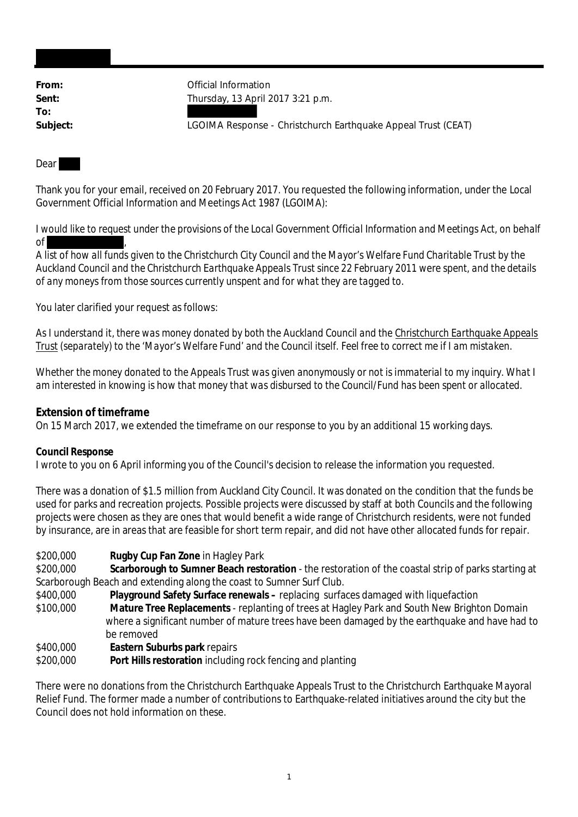**To:**

From: **From:** Official Information **Sent:** Thursday, 13 April 2017 3:21 p.m.

**Subject:** LGOIMA Response - Christchurch Earthquake Appeal Trust (CEAT)

## Dear

Thank you for your email, received on 20 February 2017. You requested the following information, under the Local Government Official Information and Meetings Act 1987 (LGOIMA):

*I would like to request under the provisions of the Local Government Official Information and Meetings Act, on behalf of ,*

*A list of how all funds given to the Christchurch City Council and the Mayor's Welfare Fund Charitable Trust by the Auckland Council and the Christchurch Earthquake Appeals Trust since 22 February 2011 were spent, and the details of any moneys from those sources currently unspent and for what they are tagged to.*

You later clarified your request as follows:

*As I understand it, there was money donated by both the Auckland Council and the Christchurch Earthquake Appeals Trust (separately) to the 'Mayor's Welfare Fund' and the Council itself. Feel free to correct me if I am mistaken.*

*Whether the money donated to the Appeals Trust was given anonymously or not is immaterial to my inquiry. What I am interested in knowing is how that money that was disbursed to the Council/Fund has been spent or allocated.*

**Extension of timeframe** On 15 March 2017, we extended the timeframe on our response to you by an additional 15 working days.

**Council Response**

I wrote to you on 6 April informing you of the Council's decision to release the information you requested.

There was a donation of \$1.5 million from Auckland City Council. It was donated on the condition that the funds be used for parks and recreation projects. Possible projects were discussed by staff at both Councils and the following projects were chosen as they are ones that would benefit a wide range of Christchurch residents, were not funded by insurance, are in areas that are feasible for short term repair, and did not have other allocated funds for repair.

\$200,000 **Rugby Cup Fan Zone** in Hagley Park

\$200,000 **Scarborough to Sumner Beach restoration** - the restoration of the coastal strip of parks starting at Scarborough Beach and extending along the coast to Sumner Surf Club.

- \$400,000 **Playground Safety Surface renewals –** replacing surfaces damaged with liquefaction
- \$100,000 **Mature Tree Replacements** replanting of trees at Hagley Park and South New Brighton Domain where a significant number of mature trees have been damaged by the earthquake and have had to be removed
- \$400,000 **Eastern Suburbs park** repairs
- \$200,000 **Port Hills restoration** including rock fencing and planting

There were no donations from the Christchurch Earthquake Appeals Trust to the Christchurch Earthquake Mayoral Relief Fund. The former made a number of contributions to Earthquake-related initiatives around the city but the Council does not hold information on these.